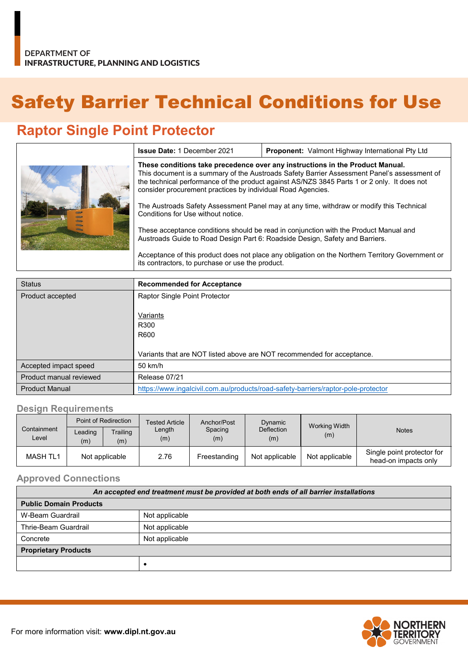# Safety Barrier Technical Conditions for Use

## **Raptor Single Point Protector**

| consider procurement practices by individual Road Agencies.<br>Conditions for Use without notice.<br>its contractors, to purchase or use the product. | These conditions take precedence over any instructions in the Product Manual.<br>This document is a summary of the Austroads Safety Barrier Assessment Panel's assessment of<br>the technical performance of the product against AS/NZS 3845 Parts 1 or 2 only. It does not<br>The Austroads Safety Assessment Panel may at any time, withdraw or modify this Technical<br>These acceptance conditions should be read in conjunction with the Product Manual and<br>Austroads Guide to Road Design Part 6: Roadside Design, Safety and Barriers.<br>Acceptance of this product does not place any obligation on the Northern Territory Government or |
|-------------------------------------------------------------------------------------------------------------------------------------------------------|------------------------------------------------------------------------------------------------------------------------------------------------------------------------------------------------------------------------------------------------------------------------------------------------------------------------------------------------------------------------------------------------------------------------------------------------------------------------------------------------------------------------------------------------------------------------------------------------------------------------------------------------------|

| <b>Status</b>           | <b>Recommended for Acceptance</b>                                                 |
|-------------------------|-----------------------------------------------------------------------------------|
| Product accepted        | Raptor Single Point Protector                                                     |
|                         | Variants<br>R300<br>R600                                                          |
|                         | Variants that are NOT listed above are NOT recommended for acceptance.            |
| Accepted impact speed   | 50 km/h                                                                           |
| Product manual reviewed | Release 07/21                                                                     |
| <b>Product Manual</b>   | https://www.ingalcivil.com.au/products/road-safety-barriers/raptor-pole-protector |

#### **Design Requirements**

| Containment<br>Level | Point of Redirection |                 | <b>Tested Article</b> | Anchor/Post    | Dynamic                  | Working Width  |                                                    |
|----------------------|----------------------|-----------------|-----------------------|----------------|--------------------------|----------------|----------------------------------------------------|
|                      | Leading<br>(m)       | Trailing<br>(m) | Length<br>(m)         | Spacing<br>(m) | <b>Deflection</b><br>(m) | (m)            | <b>Notes</b>                                       |
| MASH TL1             | Not applicable       |                 | 2.76                  | Freestanding   | Not applicable           | Not applicable | Single point protector for<br>head-on impacts only |

#### **Approved Connections**

| An accepted end treatment must be provided at both ends of all barrier installations |                |  |  |
|--------------------------------------------------------------------------------------|----------------|--|--|
| <b>Public Domain Products</b>                                                        |                |  |  |
| W-Beam Guardrail                                                                     | Not applicable |  |  |
| Thrie-Beam Guardrail                                                                 | Not applicable |  |  |
| Concrete                                                                             | Not applicable |  |  |
| <b>Proprietary Products</b>                                                          |                |  |  |
|                                                                                      |                |  |  |